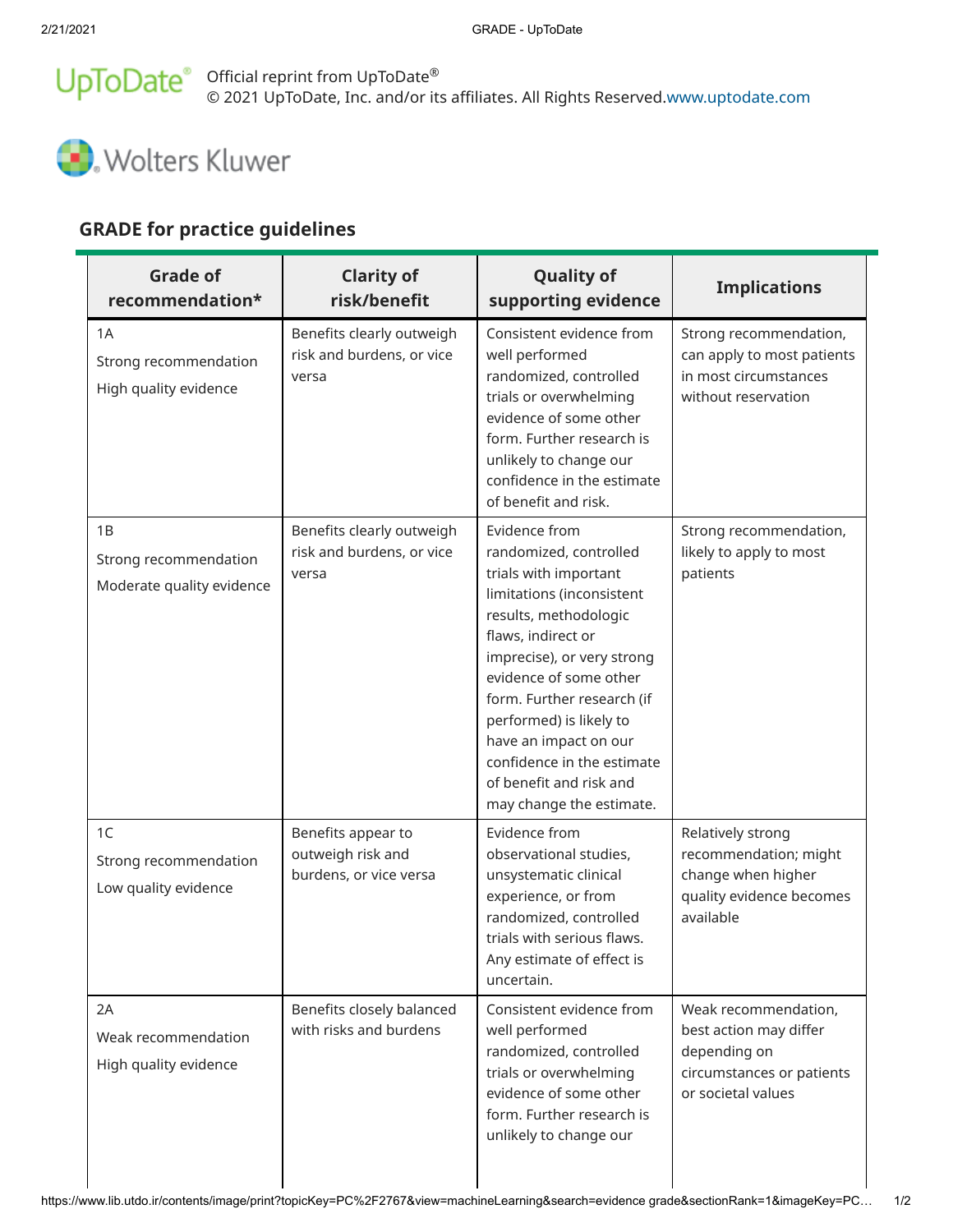## © 2021 UpToDate, Inc. and/or its affiliates. All Rights Reserved. Official reprint from UpToDate www.uptodate.com ®



## GRADE for practice guidelines

| <b>Grade of</b><br>recommendation*                       | <b>Clarity of</b><br>risk/benefit                                 | <b>Quality of</b><br>supporting evidence                                                                                                                                                                                                                                                                                                                                    | <b>Implications</b>                                                                                               |
|----------------------------------------------------------|-------------------------------------------------------------------|-----------------------------------------------------------------------------------------------------------------------------------------------------------------------------------------------------------------------------------------------------------------------------------------------------------------------------------------------------------------------------|-------------------------------------------------------------------------------------------------------------------|
| 1A<br>Strong recommendation<br>High quality evidence     | Benefits clearly outweigh<br>risk and burdens, or vice<br>versa   | Consistent evidence from<br>well performed<br>randomized, controlled<br>trials or overwhelming<br>evidence of some other<br>form. Further research is<br>unlikely to change our<br>confidence in the estimate<br>of benefit and risk.                                                                                                                                       | Strong recommendation,<br>can apply to most patients<br>in most circumstances<br>without reservation              |
| 1B<br>Strong recommendation<br>Moderate quality evidence | Benefits clearly outweigh<br>risk and burdens, or vice<br>versa   | Evidence from<br>randomized, controlled<br>trials with important<br>limitations (inconsistent<br>results, methodologic<br>flaws, indirect or<br>imprecise), or very strong<br>evidence of some other<br>form. Further research (if<br>performed) is likely to<br>have an impact on our<br>confidence in the estimate<br>of benefit and risk and<br>may change the estimate. | Strong recommendation,<br>likely to apply to most<br>patients                                                     |
| 1C<br>Strong recommendation<br>Low quality evidence      | Benefits appear to<br>outweigh risk and<br>burdens, or vice versa | Evidence from<br>observational studies,<br>unsystematic clinical<br>experience, or from<br>randomized, controlled<br>trials with serious flaws.<br>Any estimate of effect is<br>uncertain.                                                                                                                                                                                  | Relatively strong<br>recommendation; might<br>change when higher<br>quality evidence becomes<br>available         |
| 2A<br>Weak recommendation<br>High quality evidence       | Benefits closely balanced<br>with risks and burdens               | Consistent evidence from<br>well performed<br>randomized, controlled<br>trials or overwhelming<br>evidence of some other<br>form. Further research is<br>unlikely to change our                                                                                                                                                                                             | Weak recommendation,<br>best action may differ<br>depending on<br>circumstances or patients<br>or societal values |